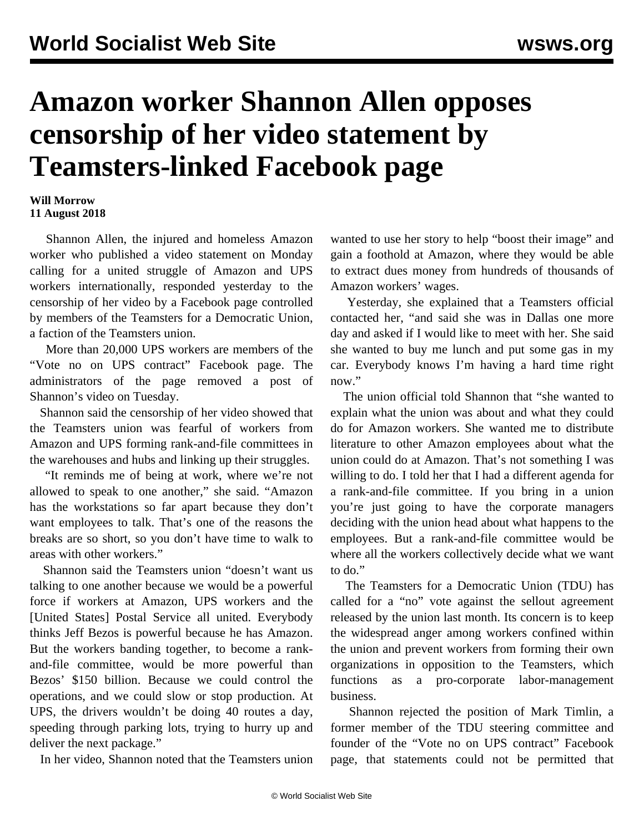## **Amazon worker Shannon Allen opposes censorship of her video statement by Teamsters-linked Facebook page**

## **Will Morrow 11 August 2018**

 Shannon Allen, the injured and homeless Amazon worker who published a video statement on Monday calling for a united struggle of Amazon and UPS workers internationally, responded yesterday to the censorship of her video by a Facebook page controlled by members of the Teamsters for a Democratic Union, a faction of the Teamsters union.

 More than 20,000 UPS workers are members of the "Vote no on UPS contract" Facebook page. The administrators of the page [removed](/en/articles/2018/08/10/upsf-a10.html) a post of Shannon's video on Tuesday.

 Shannon said the censorship of her video showed that the Teamsters union was fearful of workers from Amazon and UPS forming rank-and-file committees in the warehouses and hubs and linking up their struggles.

 "It reminds me of being at work, where we're not allowed to speak to one another," she said. "Amazon has the workstations so far apart because they don't want employees to talk. That's one of the reasons the breaks are so short, so you don't have time to walk to areas with other workers."

 Shannon said the Teamsters union "doesn't want us talking to one another because we would be a powerful force if workers at Amazon, UPS workers and the [United States] Postal Service all united. Everybody thinks Jeff Bezos is powerful because he has Amazon. But the workers banding together, to become a rankand-file committee, would be more powerful than Bezos' \$150 billion. Because we could control the operations, and we could slow or stop production. At UPS, the drivers wouldn't be doing 40 routes a day, speeding through parking lots, trying to hurry up and deliver the next package."

In her video, Shannon noted that the Teamsters union

wanted to use her story to help "boost their image" and gain a foothold at Amazon, where they would be able to extract dues money from hundreds of thousands of Amazon workers' wages.

 Yesterday, she explained that a Teamsters official contacted her, "and said she was in Dallas one more day and asked if I would like to meet with her. She said she wanted to buy me lunch and put some gas in my car. Everybody knows I'm having a hard time right now."

 The union official told Shannon that "she wanted to explain what the union was about and what they could do for Amazon workers. She wanted me to distribute literature to other Amazon employees about what the union could do at Amazon. That's not something I was willing to do. I told her that I had a different agenda for a rank-and-file committee. If you bring in a union you're just going to have the corporate managers deciding with the union head about what happens to the employees. But a rank-and-file committee would be where all the workers collectively decide what we want to do."

 The Teamsters for a Democratic Union (TDU) has called for a "no" vote against the sellout agreement released by the union last month. Its concern is to keep the widespread anger among workers confined within the union and prevent workers from forming their own organizations in opposition to the Teamsters, which functions as a pro-corporate labor-management business.

 Shannon rejected the position of Mark Timlin, a former member of the TDU steering committee and founder of the "Vote no on UPS contract" Facebook page, that statements could not be permitted that